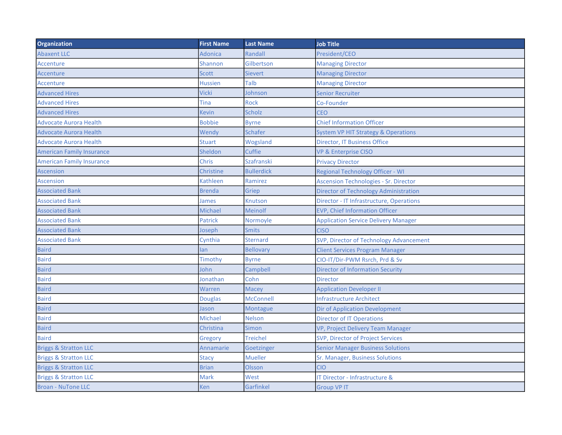| <b>Organization</b>              | <b>First Name</b> | <b>Last Name</b>  | <b>Job Title</b>                               |
|----------------------------------|-------------------|-------------------|------------------------------------------------|
| <b>Abaxent LLC</b>               | <b>Adonica</b>    | Randall           | President/CEO                                  |
| Accenture                        | Shannon           | Gilbertson        | <b>Managing Director</b>                       |
| <b>Accenture</b>                 | <b>Scott</b>      | <b>Sievert</b>    | <b>Managing Director</b>                       |
| Accenture                        | <b>Hussien</b>    | Talb              | <b>Managing Director</b>                       |
| <b>Advanced Hires</b>            | Vicki             | Johnson           | <b>Senior Recruiter</b>                        |
| <b>Advanced Hires</b>            | Tina              | <b>Rock</b>       | Co-Founder                                     |
| <b>Advanced Hires</b>            | <b>Kevin</b>      | <b>Scholz</b>     | <b>CEO</b>                                     |
| <b>Advocate Aurora Health</b>    | <b>Bobbie</b>     | <b>Byrne</b>      | <b>Chief Information Officer</b>               |
| <b>Advocate Aurora Health</b>    | Wendy             | <b>Schafer</b>    | <b>System VP HIT Strategy &amp; Operations</b> |
| <b>Advocate Aurora Health</b>    | <b>Stuart</b>     | Wogsland          | <b>Director, IT Business Office</b>            |
| <b>American Family Insurance</b> | Sheldon           | Cuffie            | <b>VP &amp; Enterprise CISO</b>                |
| <b>American Family Insurance</b> | Chris             | <b>Szafranski</b> | <b>Privacy Director</b>                        |
| <b>Ascension</b>                 | <b>Christine</b>  | <b>Bullerdick</b> | <b>Regional Technology Officer - WI</b>        |
| <b>Ascension</b>                 | Kathleen          | Ramirez           | <b>Ascension Technologies - Sr. Director</b>   |
| <b>Associated Bank</b>           | <b>Brenda</b>     | Griep             | <b>Director of Technology Administration</b>   |
| <b>Associated Bank</b>           | <b>James</b>      | Knutson           | Director - IT Infrastructure, Operations       |
| <b>Associated Bank</b>           | Michael           | Meinolf           | <b>EVP, Chief Information Officer</b>          |
| <b>Associated Bank</b>           | <b>Patrick</b>    | Normoyle          | <b>Application Service Delivery Manager</b>    |
| <b>Associated Bank</b>           | Joseph            | <b>Smits</b>      | <b>CISO</b>                                    |
| <b>Associated Bank</b>           | Cynthia           | <b>Sternard</b>   | SVP, Director of Technology Advancement        |
| <b>Baird</b>                     | lan               | <b>Bellovary</b>  | <b>Client Services Program Manager</b>         |
| <b>Baird</b>                     | Timothy           | <b>Byrne</b>      | CIO-IT/Dir-PWM Rsrch, Prd & Sv                 |
| <b>Baird</b>                     | John              | Campbell          | <b>Director of Information Security</b>        |
| <b>Baird</b>                     | Jonathan          | Cohn              | <b>Director</b>                                |
| <b>Baird</b>                     | Warren            | <b>Macey</b>      | <b>Application Developer II</b>                |
| <b>Baird</b>                     | <b>Douglas</b>    | <b>McConnell</b>  | <b>Infrastructure Architect</b>                |
| <b>Baird</b>                     | Jason             | Montague          | <b>Dir of Application Development</b>          |
| <b>Baird</b>                     | Michael           | <b>Nelson</b>     | <b>Director of IT Operations</b>               |
| <b>Baird</b>                     | Christina         | Simon             | VP, Project Delivery Team Manager              |
| <b>Baird</b>                     | Gregory           | <b>Treichel</b>   | SVP, Director of Project Services              |
| <b>Briggs &amp; Stratton LLC</b> | <b>Annamarie</b>  | Goetzinger        | <b>Senior Manager Business Solutions</b>       |
| <b>Briggs &amp; Stratton LLC</b> | <b>Stacy</b>      | <b>Mueller</b>    | Sr. Manager, Business Solutions                |
| <b>Briggs &amp; Stratton LLC</b> | <b>Brian</b>      | <b>Olsson</b>     | <b>CIO</b>                                     |
| <b>Briggs &amp; Stratton LLC</b> | Mark              | West              | IT Director - Infrastructure &                 |
| <b>Broan - NuTone LLC</b>        | <b>Ken</b>        | Garfinkel         | <b>Group VP IT</b>                             |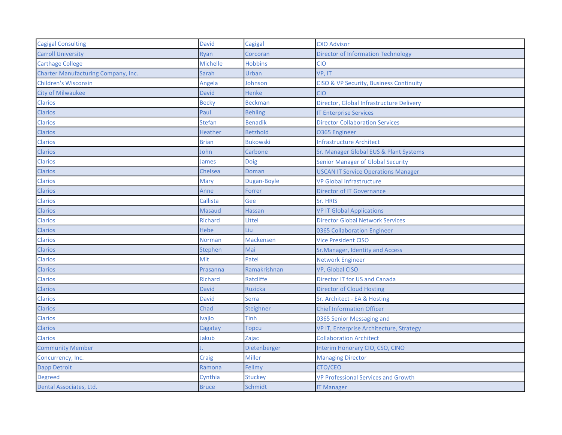| <b>Cagigal Consulting</b>           | <b>David</b>    | Cagigal          | <b>CXO Advisor</b>                         |
|-------------------------------------|-----------------|------------------|--------------------------------------------|
| <b>Carroll University</b>           | Ryan            | Corcoran         | <b>Director of Information Technology</b>  |
| <b>Carthage College</b>             | <b>Michelle</b> | <b>Hobbins</b>   | <b>CIO</b>                                 |
| Charter Manufacturing Company, Inc. | Sarah           | Urban            | VP, IT                                     |
| <b>Children's Wisconsin</b>         | Angela          | Johnson          | CISO & VP Security, Business Continuity    |
| <b>City of Milwaukee</b>            | <b>David</b>    | <b>Henke</b>     | <b>CIO</b>                                 |
| <b>Clarios</b>                      | <b>Becky</b>    | <b>Beckman</b>   | Director, Global Infrastructure Delivery   |
| <b>Clarios</b>                      | Paul            | <b>Behling</b>   | <b>IT Enterprise Services</b>              |
| Clarios                             | Stefan          | <b>Benadik</b>   | <b>Director Collaboration Services</b>     |
| <b>Clarios</b>                      | Heather         | <b>Betzhold</b>  | <b>0365 Engineer</b>                       |
| <b>Clarios</b>                      | <b>Brian</b>    | <b>Bukowski</b>  | <b>Infrastructure Architect</b>            |
| <b>Clarios</b>                      | John            | Carbone          | Sr. Manager Global EUS & Plant Systems     |
| <b>Clarios</b>                      | James           | Doig             | <b>Senior Manager of Global Security</b>   |
| <b>Clarios</b>                      | Chelsea         | Doman            | <b>USCAN IT Service Operations Manager</b> |
| <b>Clarios</b>                      | Mary            | Dugan-Boyle      | <b>VP Global Infrastructure</b>            |
| Clarios                             | Anne            | Forrer           | <b>Director of IT Governance</b>           |
| Clarios                             | Callista        | Gee              | Sr. HRIS                                   |
| <b>Clarios</b>                      | Masaud          | <b>Hassan</b>    | <b>VP IT Global Applications</b>           |
| Clarios                             | Richard         | Littel           | <b>Director Global Network Services</b>    |
| Clarios                             | <b>Hebe</b>     | Liu              | 0365 Collaboration Engineer                |
| <b>Clarios</b>                      | <b>Norman</b>   | <b>Mackensen</b> | <b>Vice President CISO</b>                 |
| Clarios                             | Stephen         | Mai              | Sr. Manager, Identity and Access           |
| Clarios                             | Mit             | Patel            | <b>Network Engineer</b>                    |
| <b>Clarios</b>                      | Prasanna        | Ramakrishnan     | VP, Global CISO                            |
| <b>Clarios</b>                      | <b>Richard</b>  | Ratcliffe        | <b>Director IT for US and Canada</b>       |
| <b>Clarios</b>                      | <b>David</b>    | <b>Ruzicka</b>   | <b>Director of Cloud Hosting</b>           |
| <b>Clarios</b>                      | David           | <b>Serra</b>     | Sr. Architect - EA & Hosting               |
| <b>Clarios</b>                      | Chad            | Steighner        | <b>Chief Information Officer</b>           |
| Clarios                             | Ivajlo          | <b>Tinh</b>      | 0365 Senior Messaging and                  |
| <b>Clarios</b>                      | Cagatay         | Topcu            | VP IT, Enterprise Architecture, Strategy   |
| <b>Clarios</b>                      | Jakub           | Zajac            | <b>Collaboration Architect</b>             |
| <b>Community Member</b>             |                 | Dietenberger     | Interim Honorary CIO, CSO, CINO            |
| Concurrency, Inc.                   | Craig           | Miller           | <b>Managing Director</b>                   |
| Dapp Detroit                        | Ramona          | Fellmy           | CTO/CEO                                    |
| <b>Degreed</b>                      | Cynthia         | <b>Stuckey</b>   | <b>VP Professional Services and Growth</b> |
| Dental Associates, Ltd.             | <b>Bruce</b>    | Schmidt          | <b>IT Manager</b>                          |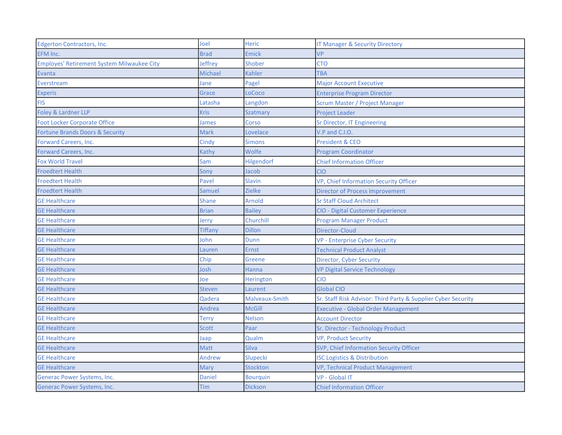| <b>Edgerton Contractors, Inc.</b>                 | Joel         | <b>Heric</b>    | <b>IT Manager &amp; Security Directory</b>                    |
|---------------------------------------------------|--------------|-----------------|---------------------------------------------------------------|
| EFM Inc.                                          | <b>Brad</b>  | <b>Emick</b>    | <b>VP</b>                                                     |
| <b>Employes' Retirement System Milwaukee City</b> | Jeffrey      | Shober          | <b>CTO</b>                                                    |
| <b>Evanta</b>                                     | Michael      | <b>Kahler</b>   | <b>TBA</b>                                                    |
| Everstream                                        | Jane         | Pagel           | <b>Major Account Executive</b>                                |
| <b>Experis</b>                                    | Grace        | LoCoco          | <b>Enterprise Program Director</b>                            |
| <b>FIS</b>                                        | Latasha      | Langdon         | <b>Scrum Master / Project Manager</b>                         |
| Foley & Lardner LLP                               | Kris         | Szatmary        | <b>Project Leader</b>                                         |
| <b>Foot Locker Corporate Office</b>               | James        | Corso           | Sr Director, IT Engineering                                   |
| Fortune Brands Doors & Security                   | Mark         | Lovelace        | V.P and C.I.O.                                                |
| Forward Careers, Inc.                             | Cindy        | <b>Simons</b>   | <b>President &amp; CEO</b>                                    |
| Forward Careers, Inc.                             | Kathy        | Wolfe           | <b>Program Coordinator</b>                                    |
| <b>Fox World Travel</b>                           | Sam          | Hilgendorf      | <b>Chief Information Officer</b>                              |
| <b>Froedtert Health</b>                           | Sony         | Jacob           | <b>CIO</b>                                                    |
| <b>Froedtert Health</b>                           | Pavel        | Slavin          | VP, Chief Information Security Officer                        |
| <b>Froedtert Health</b>                           | Samuel       | Zielke          | <b>Director of Process Improvement</b>                        |
| <b>GE Healthcare</b>                              | <b>Shane</b> | <b>Arnold</b>   | <b>Sr Staff Cloud Architect</b>                               |
| <b>GE Healthcare</b>                              | <b>Brian</b> | <b>Bailey</b>   | <b>CIO - Digital Customer Experience</b>                      |
| <b>GE Healthcare</b>                              | Jerry        | Churchill       | <b>Program Manager Product</b>                                |
| <b>GE Healthcare</b>                              | Tiffany      | <b>Dillon</b>   | Director-Cloud                                                |
| <b>GE Healthcare</b>                              | John         | Dunn            | <b>VP - Enterprise Cyber Security</b>                         |
| <b>GE Healthcare</b>                              | Lauren       | <b>Ernst</b>    | <b>Technical Product Analyst</b>                              |
| <b>GE Healthcare</b>                              | Chip         | Greene          | Director, Cyber Security                                      |
| <b>GE Healthcare</b>                              | Josh         | <b>Hanna</b>    | <b>VP Digital Service Technology</b>                          |
| <b>GE Healthcare</b>                              | Joe          | Herington       | <b>CIO</b>                                                    |
| <b>GE Healthcare</b>                              | Steven       | Laurent         | <b>Global CIO</b>                                             |
| <b>GE Healthcare</b>                              | Qadera       | Malveaux-Smith  | Sr. Staff Risk Advisor: Third Party & Supplier Cyber Security |
| <b>GE Healthcare</b>                              | Andrea       | <b>McGill</b>   | <b>Executive - Global Order Management</b>                    |
| <b>GE Healthcare</b>                              | <b>Terry</b> | <b>Nelson</b>   | <b>Account Director</b>                                       |
| <b>GE Healthcare</b>                              | <b>Scott</b> | Paar            | Sr. Director - Technology Product                             |
| <b>GE Healthcare</b>                              | Jaap         | Qualm           | VP, Product Security                                          |
| <b>GE Healthcare</b>                              | <b>Matt</b>  | <b>Silva</b>    | SVP, Chief Information Security Officer                       |
| <b>GE Healthcare</b>                              | Andrew       | Slupecki        | <b>ISC Logistics &amp; Distribution</b>                       |
| <b>GE Healthcare</b>                              | Mary         | <b>Stockton</b> | VP, Technical Product Management                              |
| <b>Generac Power Systems, Inc.</b>                | Daniel       | <b>Bourquin</b> | VP - Global IT                                                |
| <b>Generac Power Systems, Inc.</b>                | <b>Tim</b>   | <b>Dickson</b>  | <b>Chief Information Officer</b>                              |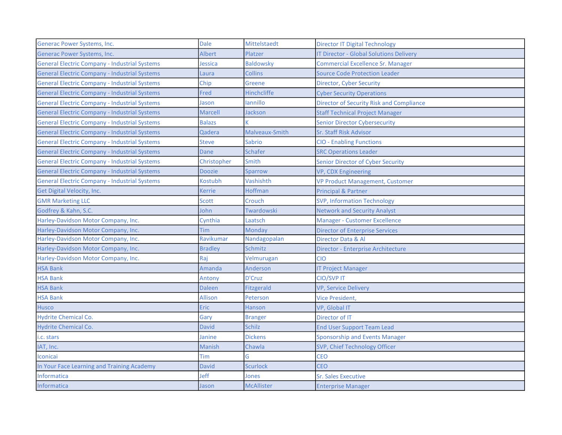| Generac Power Systems, Inc.                          | <b>Dale</b>    | Mittelstaedt       | <b>Director IT Digital Technology</b>          |
|------------------------------------------------------|----------------|--------------------|------------------------------------------------|
| Generac Power Systems, Inc.                          | <b>Albert</b>  | Platzer            | <b>IT Director - Global Solutions Delivery</b> |
| <b>General Electric Company - Industrial Systems</b> | Jessica        | <b>Baldowsky</b>   | <b>Commercial Excellence Sr. Manager</b>       |
| <b>General Electric Company - Industrial Systems</b> | Laura          | <b>Collins</b>     | <b>Source Code Protection Leader</b>           |
| <b>General Electric Company - Industrial Systems</b> | Chip           | Greene             | <b>Director, Cyber Security</b>                |
| <b>General Electric Company - Industrial Systems</b> | Fred           | <b>Hinchcliffe</b> | <b>Cyber Security Operations</b>               |
| <b>General Electric Company - Industrial Systems</b> | Jason          | lannillo           | Director of Security Risk and Compliance       |
| <b>General Electric Company - Industrial Systems</b> | <b>Marcell</b> | Jackson            | <b>Staff Technical Project Manager</b>         |
| <b>General Electric Company - Industrial Systems</b> | <b>Balazs</b>  |                    | <b>Senior Director Cybersecurity</b>           |
| <b>General Electric Company - Industrial Systems</b> | Qadera         | Malveaux-Smith     | Sr. Staff Risk Advisor                         |
| <b>General Electric Company - Industrial Systems</b> | <b>Steve</b>   | <b>Sabrio</b>      | <b>CIO - Enabling Functions</b>                |
| <b>General Electric Company - Industrial Systems</b> | Dane           | <b>Schafer</b>     | <b>SRC Operations Leader</b>                   |
| <b>General Electric Company - Industrial Systems</b> | Christopher    | Smith              | <b>Senior Director of Cyber Security</b>       |
| <b>General Electric Company - Industrial Systems</b> | <b>Doozie</b>  | Sparrow            | VP, CDX Engineering                            |
| <b>General Electric Company - Industrial Systems</b> | Kostubh        | Vashishth          | <b>VP Product Management, Customer</b>         |
| Get Digital Velocity, Inc.                           | <b>Kerrie</b>  | Hoffman            | <b>Principal &amp; Partner</b>                 |
| <b>GMR Marketing LLC</b>                             | Scott          | Crouch             | <b>SVP, Information Technology</b>             |
| Godfrey & Kahn, S.C.                                 | John           | Twardowski         | <b>Network and Security Analyst</b>            |
| Harley-Davidson Motor Company, Inc.                  | Cynthia        | Laatsch            | <b>Manager - Customer Excellence</b>           |
| Harley-Davidson Motor Company, Inc.                  | Tim            | Monday             | <b>Director of Enterprise Services</b>         |
| Harley-Davidson Motor Company, Inc.                  | Ravikumar      | Nandagopalan       | Director Data & Al                             |
| Harley-Davidson Motor Company, Inc.                  | <b>Bradley</b> | Schmitz            | Director - Enterprise Architecture             |
| Harley-Davidson Motor Company, Inc.                  | Raj            | Velmurugan         | <b>CIO</b>                                     |
| <b>HSA Bank</b>                                      | Amanda         | Anderson           | <b>IT Project Manager</b>                      |
| <b>HSA Bank</b>                                      | Antony         | D'Cruz             | <b>CIO/SVPIT</b>                               |
| <b>HSA Bank</b>                                      | Daleen         | Fitzgerald         | <b>VP, Service Delivery</b>                    |
| <b>HSA Bank</b>                                      | <b>Allison</b> | Peterson           | <b>Vice President,</b>                         |
| Husco                                                | <b>Eric</b>    | <b>Hanson</b>      | VP, Global IT                                  |
| Hydrite Chemical Co.                                 | Gary           | <b>Branger</b>     | Director of IT                                 |
| <b>Hydrite Chemical Co.</b>                          | <b>David</b>   | <b>Schilz</b>      | <b>End User Support Team Lead</b>              |
| i.c. stars                                           | Janine         | <b>Dickens</b>     | <b>Sponsorship and Events Manager</b>          |
| IAT, Inc.                                            | <b>Manish</b>  | Chawla             | SVP, Chief Technology Officer                  |
| Iconicai                                             | Tim            | G                  | <b>CEO</b>                                     |
| In Your Face Learning and Training Academy           | <b>David</b>   | <b>Scurlock</b>    | <b>CEO</b>                                     |
| <b>Informatica</b>                                   | Jeff           | Jones              | <b>Sr. Sales Executive</b>                     |
| Informatica                                          | Jason          | <b>McAllister</b>  | <b>Enterprise Manager</b>                      |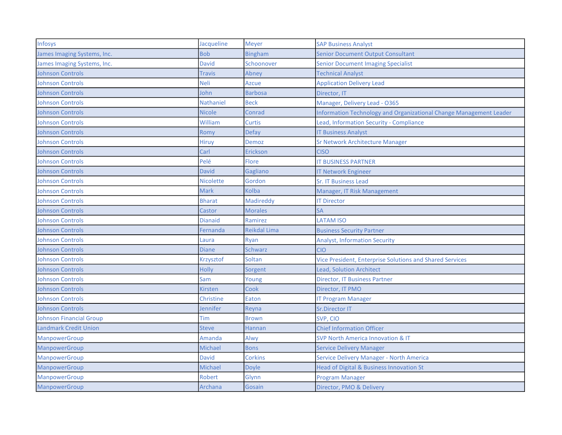| Infosys                        | Jacqueline     | Meyer               | <b>SAP Business Analyst</b>                                        |
|--------------------------------|----------------|---------------------|--------------------------------------------------------------------|
| James Imaging Systems, Inc.    | <b>Bob</b>     | <b>Bingham</b>      | <b>Senior Document Output Consultant</b>                           |
| James Imaging Systems, Inc.    | <b>David</b>   | Schoonover          | <b>Senior Document Imaging Specialist</b>                          |
| <b>Johnson Controls</b>        | Travis         | Abney               | <b>Technical Analyst</b>                                           |
| <b>Johnson Controls</b>        | Neli           | Azcue               | <b>Application Delivery Lead</b>                                   |
| <b>Johnson Controls</b>        | John           | <b>Barbosa</b>      | Director, IT                                                       |
| <b>Johnson Controls</b>        | Nathaniel      | <b>Beck</b>         | Manager, Delivery Lead - O365                                      |
| <b>Johnson Controls</b>        | <b>Nicole</b>  | Conrad              | Information Technology and Organizational Change Management Leader |
| <b>Johnson Controls</b>        | William        | <b>Curtis</b>       | Lead, Information Security - Compliance                            |
| <b>Johnson Controls</b>        | Romy           | <b>Defay</b>        | <b>IT Business Analyst</b>                                         |
| <b>Johnson Controls</b>        | Hiruy          | Demoz               | Sr Network Architecture Manager                                    |
| <b>Johnson Controls</b>        | Carl           | <b>Erickson</b>     | <b>CISO</b>                                                        |
| <b>Johnson Controls</b>        | Pelé           | <b>Flore</b>        | <b>IT BUSINESS PARTNER</b>                                         |
| <b>Johnson Controls</b>        | David          | Gagliano            | <b>IT Network Engineer</b>                                         |
| <b>Johnson Controls</b>        | Nicolette      | Gordon              | <b>Sr. IT Business Lead</b>                                        |
| <b>Johnson Controls</b>        | Mark           | Kolba               | Manager, IT Risk Management                                        |
| <b>Johnson Controls</b>        | Bharat         | <b>Madireddy</b>    | <b>IT Director</b>                                                 |
| <b>Johnson Controls</b>        | Castor         | <b>Morales</b>      | <b>SA</b>                                                          |
| <b>Johnson Controls</b>        | <b>Dianaid</b> | Ramirez             | <b>LATAM ISO</b>                                                   |
| <b>Johnson Controls</b>        | Fernanda       | <b>Reikdal Lima</b> | <b>Business Security Partner</b>                                   |
| <b>Johnson Controls</b>        | Laura          | Ryan                | <b>Analyst, Information Security</b>                               |
| <b>Johnson Controls</b>        | <b>Diane</b>   | <b>Schwarz</b>      | <b>CIO</b>                                                         |
| <b>Johnson Controls</b>        | Krzysztof      | Soltan              | <b>Vice President, Enterprise Solutions and Shared Services</b>    |
| <b>Johnson Controls</b>        | <b>Holly</b>   | Sorgent             | <b>Lead, Solution Architect</b>                                    |
| <b>Johnson Controls</b>        | Sam            | Young               | <b>Director, IT Business Partner</b>                               |
| <b>Johnson Controls</b>        | <b>Kirsten</b> | Cook                | Director, IT PMO                                                   |
| <b>Johnson Controls</b>        | Christine      | <b>Eaton</b>        | <b>IT Program Manager</b>                                          |
| <b>Johnson Controls</b>        | Jennifer       | Reyna               | Sr.Director IT                                                     |
| <b>Johnson Financial Group</b> | Tim            | <b>Brown</b>        | SVP, CIO                                                           |
| <b>Landmark Credit Union</b>   | <b>Steve</b>   | <b>Hannan</b>       | <b>Chief Information Officer</b>                                   |
| ManpowerGroup                  | Amanda         | Alwy                | <b>SVP North America Innovation &amp; IT</b>                       |
| ManpowerGroup                  | Michael        | <b>Bons</b>         | <b>Service Delivery Manager</b>                                    |
| ManpowerGroup                  | <b>David</b>   | <b>Corkins</b>      | Service Delivery Manager - North America                           |
| ManpowerGroup                  | Michael        | Doyle               | Head of Digital & Business Innovation St                           |
| ManpowerGroup                  | Robert         | Glynn               | <b>Program Manager</b>                                             |
| ManpowerGroup                  | Archana        | Gosain              | Director, PMO & Delivery                                           |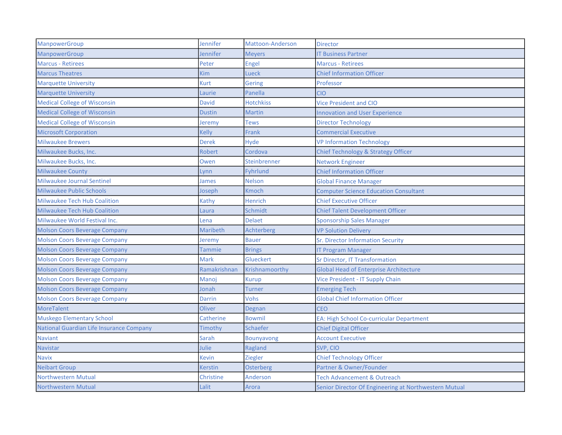| ManpowerGroup                            | Jennifer       | Mattoon-Anderson | <b>Director</b>                                       |
|------------------------------------------|----------------|------------------|-------------------------------------------------------|
| ManpowerGroup                            | Jennifer       | <b>Meyers</b>    | <b>IT Business Partner</b>                            |
| <b>Marcus - Retirees</b>                 | Peter          | Engel            | <b>Marcus - Retirees</b>                              |
| <b>Marcus Theatres</b>                   | Kim            | Lueck            | <b>Chief Information Officer</b>                      |
| <b>Marquette University</b>              | <b>Kurt</b>    | Gering           | Professor                                             |
| <b>Marquette University</b>              | Laurie         | Panella          | <b>CIO</b>                                            |
| <b>Medical College of Wisconsin</b>      | David          | <b>Hotchkiss</b> | <b>Vice President and CIO</b>                         |
| <b>Medical College of Wisconsin</b>      | <b>Dustin</b>  | <b>Martin</b>    | <b>Innovation and User Experience</b>                 |
| <b>Medical College of Wisconsin</b>      | Jeremy         | <b>Tews</b>      | <b>Director Technology</b>                            |
| <b>Microsoft Corporation</b>             | Kelly          | Frank            | <b>Commercial Executive</b>                           |
| <b>Milwaukee Brewers</b>                 | <b>Derek</b>   | Hyde             | <b>VP Information Technology</b>                      |
| Milwaukee Bucks, Inc.                    | Robert         | Cordova          | <b>Chief Technology &amp; Strategy Officer</b>        |
| Milwaukee Bucks, Inc.                    | Owen           | Steinbrenner     | <b>Network Engineer</b>                               |
| <b>Milwaukee County</b>                  | Lynn           | <b>Fyhrlund</b>  | <b>Chief Information Officer</b>                      |
| Milwaukee Journal Sentinel               | James          | <b>Nelson</b>    | <b>Global Finance Manager</b>                         |
| <b>Milwaukee Public Schools</b>          | Joseph         | Kmoch            | <b>Computer Science Education Consultant</b>          |
| <b>Milwaukee Tech Hub Coalition</b>      | Kathy          | <b>Henrich</b>   | <b>Chief Executive Officer</b>                        |
| <b>Milwaukee Tech Hub Coalition</b>      | Laura          | Schmidt          | <b>Chief Talent Development Officer</b>               |
| Milwaukee World Festival Inc.            | Lena           | <b>Delaet</b>    | Sponsorship Sales Manager                             |
| <b>Molson Coors Beverage Company</b>     | Maribeth       | Achterberg       | <b>VP Solution Delivery</b>                           |
| <b>Molson Coors Beverage Company</b>     | Jeremy         | <b>Bauer</b>     | Sr. Director Information Security                     |
| <b>Molson Coors Beverage Company</b>     | Tammie         | <b>Brings</b>    | <b>IT Program Manager</b>                             |
| <b>Molson Coors Beverage Company</b>     | Mark           | Glueckert        | Sr Director, IT Transformation                        |
| <b>Molson Coors Beverage Company</b>     | Ramakrishnan   | Krishnamoorthy   | <b>Global Head of Enterprise Architecture</b>         |
| <b>Molson Coors Beverage Company</b>     | Manoj          | Kurup            | Vice President - IT Supply Chain                      |
| <b>Molson Coors Beverage Company</b>     | Jonah          | Turner           | <b>Emerging Tech</b>                                  |
| <b>Molson Coors Beverage Company</b>     | Darrin         | Vohs             | <b>Global Chief Information Officer</b>               |
| <b>MoreTalent</b>                        | Oliver         | Degnan           | <b>CEO</b>                                            |
| <b>Muskego Elementary School</b>         | Catherine      | <b>Bowmil</b>    | EA: High School Co-curricular Department              |
| National Guardian Life Insurance Company | Timothy        | Schaefer         | <b>Chief Digital Officer</b>                          |
| <b>Naviant</b>                           | Sarah          | Bounyavong       | <b>Account Executive</b>                              |
| <b>Navistar</b>                          | Julie          | Ragland          | SVP, CIO                                              |
| <b>Navix</b>                             | Kevin          | <b>Ziegler</b>   | <b>Chief Technology Officer</b>                       |
| <b>Neibart Group</b>                     | <b>Kerstin</b> | <b>Osterberg</b> | Partner & Owner/Founder                               |
| <b>Northwestern Mutual</b>               | Christine      | Anderson         | <b>Tech Advancement &amp; Outreach</b>                |
| <b>Northwestern Mutual</b>               | Lalit          | Arora            | Senior Director Of Engineering at Northwestern Mutual |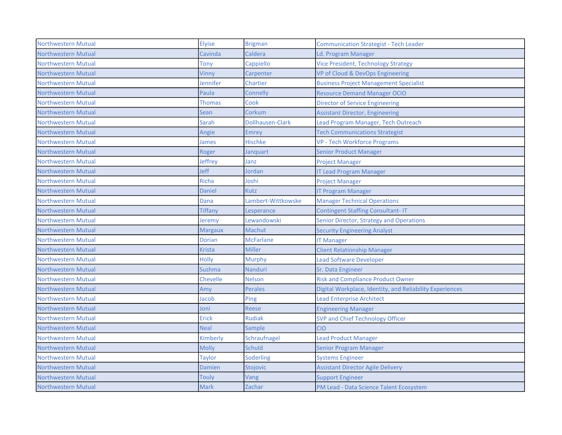| <b>Northwestern Mutual</b> | Elyise          | <b>Brigman</b>     | <b>Communication Strategist - Tech Leader</b>            |
|----------------------------|-----------------|--------------------|----------------------------------------------------------|
| Northwestern Mutual        | Cavinda         | Caldera            | Ld. Program Manager                                      |
| Northwestern Mutual        | Tony            | Cappiello          | <b>Vice President, Technology Strategy</b>               |
| <b>Northwestern Mutual</b> | Vinny           | Carpenter          | VP of Cloud & DevOps Engineering                         |
| <b>Northwestern Mutual</b> | Jennifer        | Chartier           | <b>Business Project Management Specialist</b>            |
| Northwestern Mutual        | Paula           | Connelly           | <b>Resource Demand Manager OCIO</b>                      |
| <b>Northwestern Mutual</b> | <b>Thomas</b>   | Cook               | <b>Director of Service Engineering</b>                   |
| Northwestern Mutual        | Sean            | Corkum             | <b>Assistant Director, Engineering</b>                   |
| Northwestern Mutual        | Sarah           | Dollhausen-Clark   | Lead Program Manager, Tech Outreach                      |
| Northwestern Mutual        | Angie           | Emrey              | <b>Tech Communications Strategist</b>                    |
| <b>Northwestern Mutual</b> | James           | <b>Hischke</b>     | <b>VP - Tech Workforce Programs</b>                      |
| Northwestern Mutual        | Roger           | Janquart           | <b>Senior Product Manager</b>                            |
| Northwestern Mutual        | Jeffrey         | Janz               | <b>Project Manager</b>                                   |
| Northwestern Mutual        | Jeff            | Jordan             | <b>IT Lead Program Manager</b>                           |
| Northwestern Mutual        | Richa           | Joshi              | <b>Project Manager</b>                                   |
| Northwestern Mutual        | <b>Daniel</b>   | Kutz               | <b>IT Program Manager</b>                                |
| <b>Northwestern Mutual</b> | Dana            | Lambert-Wittkowske | <b>Manager Technical Operations</b>                      |
| <b>Northwestern Mutual</b> | <b>Tiffany</b>  | Lesperance         | <b>Contingent Staffing Consultant-IT</b>                 |
| <b>Northwestern Mutual</b> | Jeremy          | Lewandowski        | Senior Director, Strategy and Operations                 |
| <b>Northwestern Mutual</b> | <b>Margaux</b>  | Machut             | <b>Security Engineering Analyst</b>                      |
| <b>Northwestern Mutual</b> | <b>Dorian</b>   | <b>McFarlane</b>   | <b>IT Manager</b>                                        |
| Northwestern Mutual        | Krista          | Miller             | <b>Client Relationship Manager</b>                       |
| <b>Northwestern Mutual</b> | <b>Holly</b>    | Murphy             | <b>Lead Software Developer</b>                           |
| Northwestern Mutual        | Sushma          | Nanduri            | Sr. Data Engineer                                        |
| Northwestern Mutual        | <b>Chevelle</b> | <b>Nelson</b>      | <b>Risk and Compliance Product Owner</b>                 |
| Northwestern Mutual        | Amv             | <b>Perales</b>     | Digital Workplace, Identity, and Reliability Experiences |
| Northwestern Mutual        | Jacob           | Ping               | <b>Lead Enterprise Architect</b>                         |
| Northwestern Mutual        | Joni            | Reese              | <b>Engineering Manager</b>                               |
| <b>Northwestern Mutual</b> | <b>Erick</b>    | <b>Rudiak</b>      | SVP and Chief Technology Officer                         |
| <b>Northwestern Mutual</b> | <b>Neal</b>     | Sample             | <b>CIO</b>                                               |
| <b>Northwestern Mutual</b> | Kimberly        | Schraufnagel       | <b>Lead Product Manager</b>                              |
| <b>Northwestern Mutual</b> | <b>Molly</b>    | <b>Schuld</b>      | <b>Senior Program Manager</b>                            |
| <b>Northwestern Mutual</b> | <b>Taylor</b>   | Soderling          | <b>Systems Engineer</b>                                  |
| Northwestern Mutual        | Damien          | Stojovic           | <b>Assistant Director Agile Delivery</b>                 |
| Northwestern Mutual        | Touly           | Vang               | <b>Support Engineer</b>                                  |
| <b>Northwestern Mutual</b> | <b>Mark</b>     | Zachar             | PM Lead - Data Science Talent Ecosystem                  |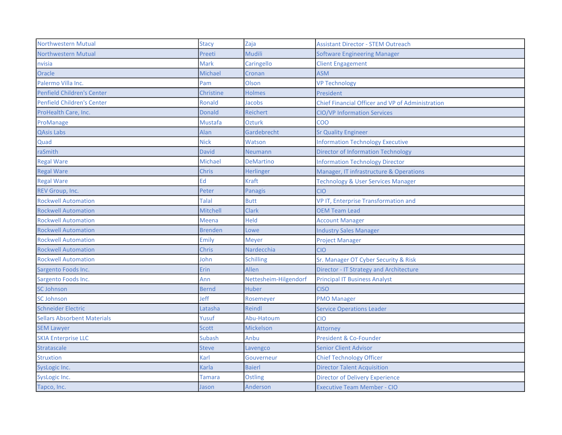| <b>Northwestern Mutual</b>         | <b>Stacy</b>    | Zaja                  | <b>Assistant Director - STEM Outreach</b>               |
|------------------------------------|-----------------|-----------------------|---------------------------------------------------------|
| <b>Northwestern Mutual</b>         | Preeti          | <b>Mudili</b>         | <b>Software Engineering Manager</b>                     |
| nvisia                             | <b>Mark</b>     | Caringello            | <b>Client Engagement</b>                                |
| Oracle                             | Michael         | Cronan                | <b>ASM</b>                                              |
| Palermo Villa Inc.                 | Pam             | Olson                 | <b>VP Technology</b>                                    |
| <b>Penfield Children's Center</b>  | Christine       | <b>Holmes</b>         | President                                               |
| <b>Penfield Children's Center</b>  | Ronald          | Jacobs                | <b>Chief Financial Officer and VP of Administration</b> |
| ProHealth Care, Inc.               | <b>Donald</b>   | <b>Reichert</b>       | <b>CIO/VP Information Services</b>                      |
| ProManage                          | Mustafa         | <b>Ozturk</b>         | COO                                                     |
| <b>QAsis Labs</b>                  | Alan            | Gardebrecht           | <b>Sr Quality Engineer</b>                              |
| Quad                               | Nick            | Watson                | <b>Information Technology Executive</b>                 |
| raSmith                            | David           | <b>Neumann</b>        | <b>Director of Information Technology</b>               |
| <b>Regal Ware</b>                  | Michael         | <b>DeMartino</b>      | <b>Information Technology Director</b>                  |
| <b>Regal Ware</b>                  | Chris           | <b>Herlinger</b>      | Manager, IT infrastructure & Operations                 |
| <b>Regal Ware</b>                  | Ed              | <b>Kraft</b>          | <b>Technology &amp; User Services Manager</b>           |
| REV Group, Inc.                    | Peter           | Panagis               | <b>CIO</b>                                              |
| <b>Rockwell Automation</b>         | Talal           | <b>Butt</b>           | <b>VP IT, Enterprise Transformation and</b>             |
| <b>Rockwell Automation</b>         | <b>Mitchell</b> | Clark                 | <b>OEM Team Lead</b>                                    |
| <b>Rockwell Automation</b>         | <b>Meena</b>    | Held                  | <b>Account Manager</b>                                  |
| <b>Rockwell Automation</b>         | <b>Brenden</b>  | Lowe                  | <b>Industry Sales Manager</b>                           |
| <b>Rockwell Automation</b>         | Emily           | <b>Meyer</b>          | <b>Project Manager</b>                                  |
| <b>Rockwell Automation</b>         | Chris           | Nardecchia            | <b>CIO</b>                                              |
| <b>Rockwell Automation</b>         | John            | <b>Schilling</b>      | Sr. Manager OT Cyber Security & Risk                    |
| Sargento Foods Inc.                | Erin            | <b>Allen</b>          | Director - IT Strategy and Architecture                 |
| Sargento Foods Inc.                | Ann             | Nettesheim-Hilgendorf | <b>Principal IT Business Analyst</b>                    |
| <b>SC Johnson</b>                  | <b>Bernd</b>    | <b>Huber</b>          | <b>CISO</b>                                             |
| <b>SC Johnson</b>                  | Jeff            | Rosemeyer             | <b>PMO Manager</b>                                      |
| <b>Schneider Electric</b>          | Latasha         | Reindl                | <b>Service Operations Leader</b>                        |
| <b>Sellars Absorbent Materials</b> | Yusuf           | Abu-Hatoum            | <b>CIO</b>                                              |
| <b>SEM Lawyer</b>                  | <b>Scott</b>    | Mickelson             | Attorney                                                |
| <b>SKIA Enterprise LLC</b>         | Subash          | Anbu                  | President & Co-Founder                                  |
| <b>Stratascale</b>                 | <b>Steve</b>    | Lavengco              | <b>Senior Client Advisor</b>                            |
| <b>Struxtion</b>                   | Karl            | Gouverneur            | <b>Chief Technology Officer</b>                         |
| SysLogic Inc.                      | Karla           | <b>Baierl</b>         | <b>Director Talent Acquisition</b>                      |
| SysLogic Inc.                      | Tamara          | Ostling               | <b>Director of Delivery Experience</b>                  |
| Tapco, Inc.                        | Jason           | Anderson              | <b>Executive Team Member - CIO</b>                      |